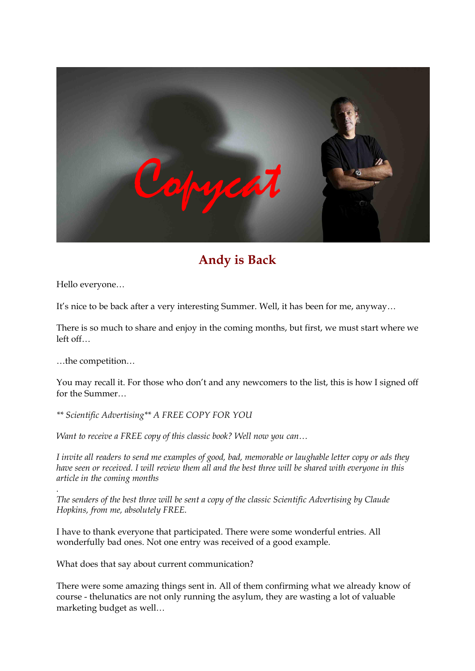

# **Andy is Back**

Hello everyone…

It's nice to be back after a very interesting Summer. Well, it has been for me, anyway…

There is so much to share and enjoy in the coming months, but first, we must start where we left off…<br>…the competition…

You may recall it. For those who don't and any newcomers to the list, this is how I signed off for the Summer…

*\*\* Scientific Advertising\*\* A FREE COPY FOR YOU*

*Want to receive a FREE copy of this classic book? Well now you can…* 

*I invite all readers to send me examples of good, bad, memorable or laughable letter copy or ads they have seen or received. I will review them all and the best three will be shared with everyone in this article in the coming months* 

*.The senders of the best three will be sent <sup>a</sup> copy of the classic Scientific Advertising by Claude Hopkins, from me, absolutely FREE.*

I have to thank everyone that participated. There were some wonderful entries. All wonderfully bad ones. Not one entry was received of a good example.

What does that say about current communication?

There were some amazing things sent in. All of them confirming what we already know of course thelunatics are not only running the asylum, they are wasting a lot of valuable marketing budget as well…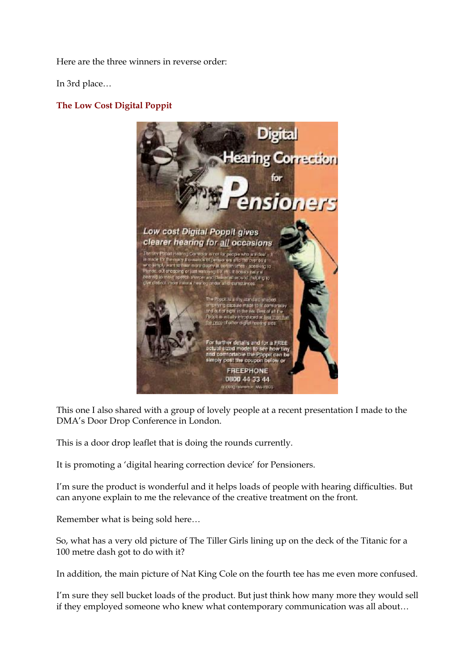Here are the three winners in reverse order:

In 3rd place…

### **The Low Cost Digital Poppit**



This one I also shared with a group of lovely people at a recent presentation I made to the DMA's Door Drop Conference in London.

This is a door drop leaflet that is doing the rounds currently.

It is promoting a 'digital hearing correction device' for Pensioners.

I'm sure the product is wonderful and it helps loads of people with hearing difficulties. But can anyone explain to me the relevance of the creative treatment on the front.

Remember what is being sold here…

So, what has a very old picture of The Tiller Girls lining up on the deck of the Titanic for a 100 metre dash got to do with it?

In addition, the main picture of Nat King Cole on the fourth tee has me even more confused.

I'm sure they sell bucket loads of the product. But just think how many more they would sell if they employed someone who knew what contemporary communication was all about…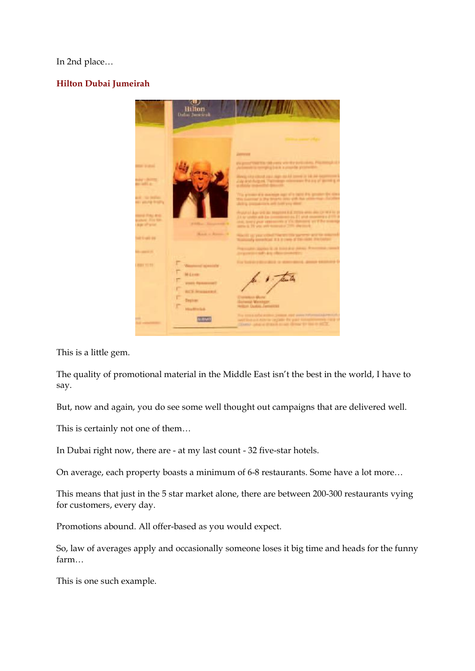### In 2nd place…

# **Hilton Dubai Jumeirah**



This is a little gem.

The quality of promotional material in the Middle East isn't the best in the world, I have to say.

But, now and again, you do see some well thought out campaigns that are delivered well.

This is certainly not one of them…

In Dubai right now, there are - at my last count - 32 five-star hotels.

On average, each property boasts a minimum of 6-8 restaurants. Some have a lot more...

This means that just in the 5 star market alone, there are between 200-300 restaurants vying for customers, every day.

Promotions abound. All offer-based as you would expect.

So, law of averages apply and occasionally someone loses it big time and heads for the funny farm…

This is one such example.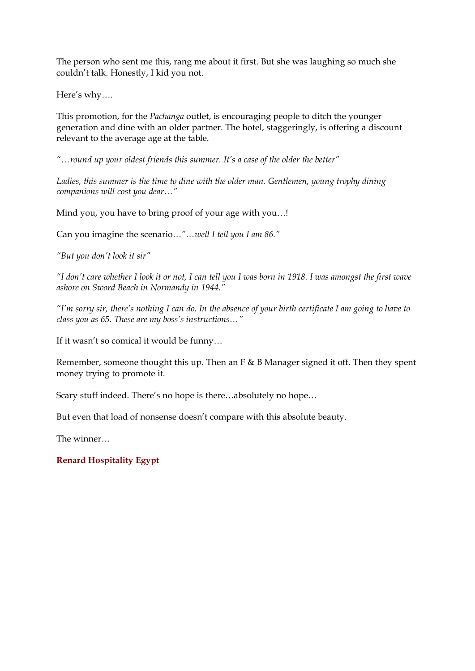The person who sent me this, rang me about it first. But she was laughing so much she couldn't talk. Honestly, I kid you not.

Here's why….

This promotion, for the *Pachanga* outlet, is encouraging people to ditch the younger generation and dine with an older partner. The hotel, staggeringly, is offering a discount relevant to the average age at the table.

*"…round up your oldest friends this summer. It's a case of the older the better"* 

*Ladies, this summer is the time to dine with the older man. Gentlemen, young trophy dining companions will cost you dear…"*

Mind you, you have to bring proof of your age with you…!

Can you imagine the scenario…*"…well I tell you I am 86."* 

*"But you don't look it sir"* 

*"I don't care whether I look it or not, I can tell you I was born in 1918. I was amongst the first wave ashore on Sword Beach in Normandy in 1944."* 

*"I'm sorry sir, there's nothing I can do. In the absence of your birth certificate I am going to have to class you as 65. These are my boss's instructions…"*

If it wasn't so comical it would be funny…

Remember, someone thought this up. Then an F & B Manager signed it off. Then they spent money trying to promote it.

Scary stuff indeed. There's no hope is there…absolutely no hope…

But even that load of nonsense doesn't compare with this absolute beauty.

The winner…

# **Renard Hospitality Egypt**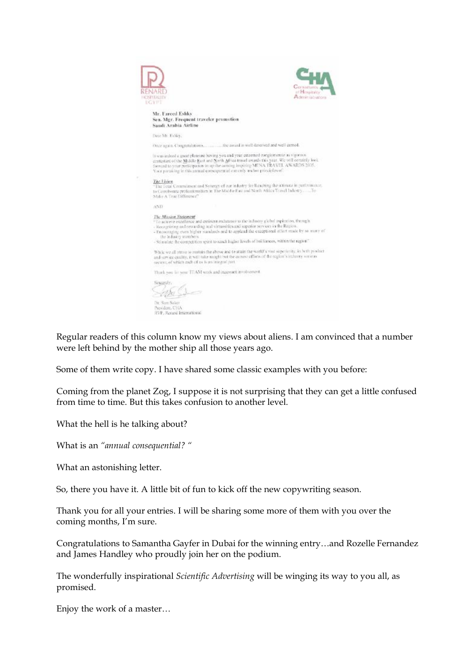

Regular readers of this column know my views about aliens. I am convinced that a number were left behind by the mother ship all those years ago.

Some of them write copy. I have shared some classic examples with you before:

Coming from the planet Zog, I suppose it is not surprising that they can get a little confused from time to time. But this takes confusion to another level.

What the hell is he talking about?

What is an *"annual consequential? "*

What an astonishing letter.

So, there you have it. A little bit of fun to kick off the new copywriting season.

Thank you for all your entries. I will be sharing some more of them with you over the coming months, I'm sure.

Congratulations to Samantha Gayfer in Dubai for the winning entry…and Rozelle Fernandez and James Handley who proudly join her on the podium.

The wonderfully inspirational *Scientific Advertising* will be winging its way to you all, as promised.

Enjoy the work of a master…